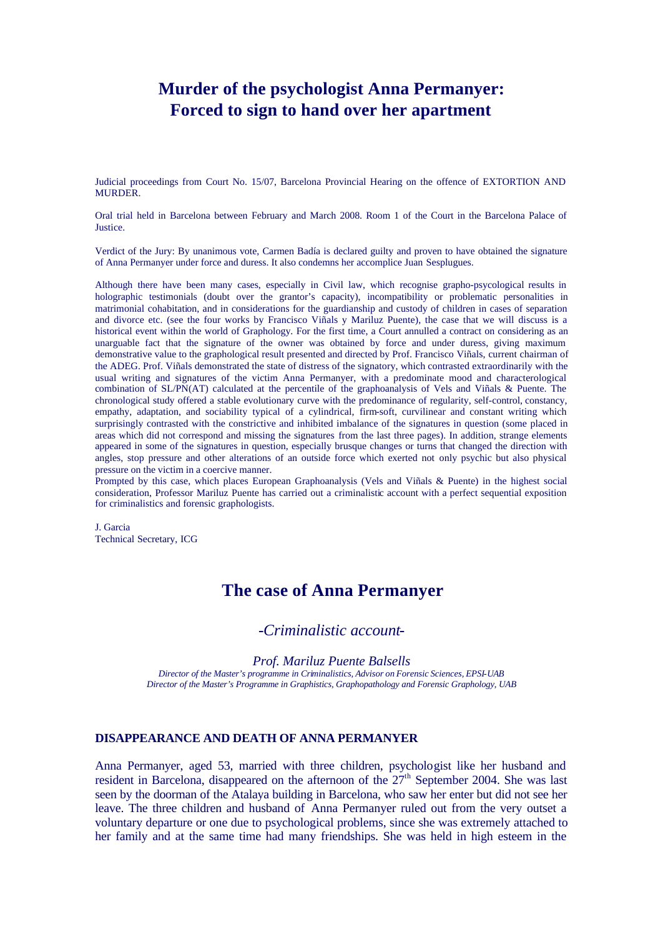# **Murder of the psychologist Anna Permanyer: Forced to sign to hand over her apartment**

Judicial proceedings from Court No. 15/07, Barcelona Provincial Hearing on the offence of EXTORTION AND MURDER.

Oral trial held in Barcelona between February and March 2008. Room 1 of the Court in the Barcelona Palace of Justice.

Verdict of the Jury: By unanimous vote, Carmen Badía is declared guilty and proven to have obtained the signature of Anna Permanyer under force and duress. It also condemns her accomplice Juan Sesplugues.

Although there have been many cases, especially in Civil law, which recognise grapho-psycological results in holographic testimonials (doubt over the grantor's capacity), incompatibility or problematic personalities in matrimonial cohabitation, and in considerations for the guardianship and custody of children in cases of separation and divorce etc. (see the four works by Francisco Viñals y Mariluz Puente), the case that we will discuss is a historical event within the world of Graphology. For the first time, a Court annulled a contract on considering as an unarguable fact that the signature of the owner was obtained by force and under duress, giving maximum demonstrative value to the graphological result presented and directed by Prof. Francisco Viñals, current chairman of the ADEG. Prof. Viñals demonstrated the state of distress of the signatory, which contrasted extraordinarily with the usual writing and signatures of the victim Anna Permanyer, with a predominate mood and characterological combination of SL/PN(AT) calculated at the percentile of the graphoanalysis of Vels and Viñals & Puente. The chronological study offered a stable evolutionary curve with the predominance of regularity, self-control, constancy, empathy, adaptation, and sociability typical of a cylindrical, firm-soft, curvilinear and constant writing which surprisingly contrasted with the constrictive and inhibited imbalance of the signatures in question (some placed in areas which did not correspond and missing the signatures from the last three pages). In addition, strange elements appeared in some of the signatures in question, especially brusque changes or turns that changed the direction with angles, stop pressure and other alterations of an outside force which exerted not only psychic but also physical pressure on the victim in a coercive manner.

Prompted by this case, which places European Graphoanalysis (Vels and Viñals & Puente) in the highest social consideration, Professor Mariluz Puente has carried out a criminalistic account with a perfect sequential exposition for criminalistics and forensic graphologists.

J. Garcia Technical Secretary, ICG

## **The case of Anna Permanyer**

## *-Criminalistic account-*

*Prof. Mariluz Puente Balsells*

*Director of the Master's programme in Criminalistics, Advisor on Forensic Sciences, EPSI-UAB Director of the Master's Programme in Graphistics, Graphopathology and Forensic Graphology, UAB*

## **DISAPPEARANCE AND DEATH OF ANNA PERMANYER**

Anna Permanyer, aged 53, married with three children, psychologist like her husband and resident in Barcelona, disappeared on the afternoon of the  $27<sup>th</sup>$  September 2004. She was last seen by the doorman of the Atalaya building in Barcelona, who saw her enter but did not see her leave. The three children and husband of Anna Permanyer ruled out from the very outset a voluntary departure or one due to psychological problems, since she was extremely attached to her family and at the same time had many friendships. She was held in high esteem in the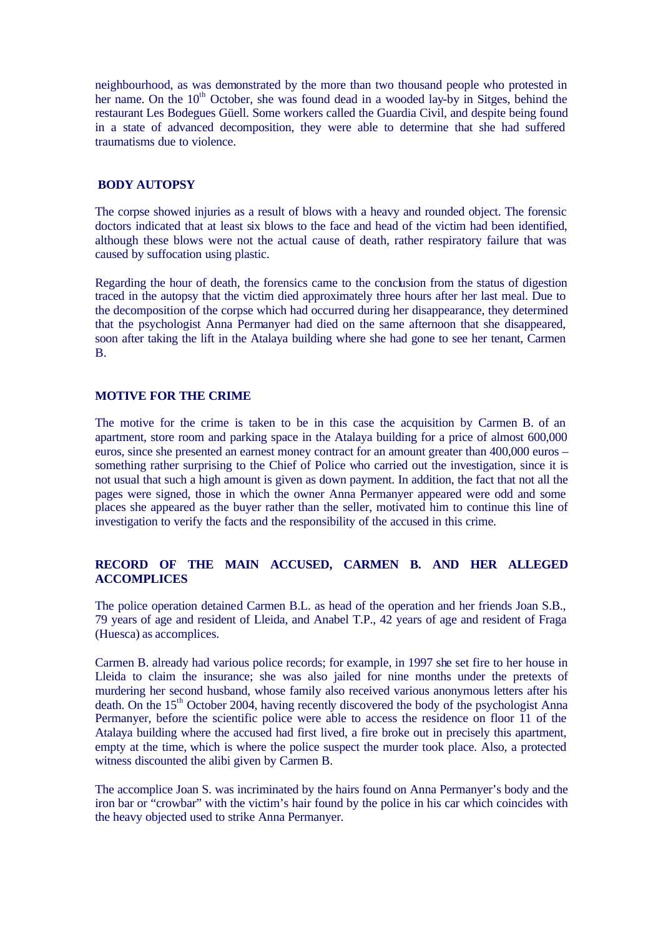neighbourhood, as was demonstrated by the more than two thousand people who protested in her name. On the  $10<sup>th</sup>$  October, she was found dead in a wooded lay-by in Sitges, behind the restaurant Les Bodegues Güell. Some workers called the Guardia Civil, and despite being found in a state of advanced decomposition, they were able to determine that she had suffered traumatisms due to violence.

## **BODY AUTOPSY**

The corpse showed injuries as a result of blows with a heavy and rounded object. The forensic doctors indicated that at least six blows to the face and head of the victim had been identified, although these blows were not the actual cause of death, rather respiratory failure that was caused by suffocation using plastic.

Regarding the hour of death, the forensics came to the conclusion from the status of digestion traced in the autopsy that the victim died approximately three hours after her last meal. Due to the decomposition of the corpse which had occurred during her disappearance, they determined that the psychologist Anna Permanyer had died on the same afternoon that she disappeared, soon after taking the lift in the Atalaya building where she had gone to see her tenant, Carmen B.

## **MOTIVE FOR THE CRIME**

The motive for the crime is taken to be in this case the acquisition by Carmen B. of an apartment, store room and parking space in the Atalaya building for a price of almost 600,000 euros, since she presented an earnest money contract for an amount greater than 400,000 euros – something rather surprising to the Chief of Police who carried out the investigation, since it is not usual that such a high amount is given as down payment. In addition, the fact that not all the pages were signed, those in which the owner Anna Permanyer appeared were odd and some places she appeared as the buyer rather than the seller, motivated him to continue this line of investigation to verify the facts and the responsibility of the accused in this crime.

## **RECORD OF THE MAIN ACCUSED, CARMEN B. AND HER ALLEGED ACCOMPLICES**

The police operation detained Carmen B.L. as head of the operation and her friends Joan S.B., 79 years of age and resident of Lleida, and Anabel T.P., 42 years of age and resident of Fraga (Huesca) as accomplices.

Carmen B. already had various police records; for example, in 1997 she set fire to her house in Lleida to claim the insurance; she was also jailed for nine months under the pretexts of murdering her second husband, whose family also received various anonymous letters after his death. On the 15<sup>th</sup> October 2004, having recently discovered the body of the psychologist Anna Permanyer, before the scientific police were able to access the residence on floor 11 of the Atalaya building where the accused had first lived, a fire broke out in precisely this apartment, empty at the time, which is where the police suspect the murder took place. Also, a protected witness discounted the alibi given by Carmen B.

The accomplice Joan S. was incriminated by the hairs found on Anna Permanyer's body and the iron bar or "crowbar" with the victim's hair found by the police in his car which coincides with the heavy objected used to strike Anna Permanyer.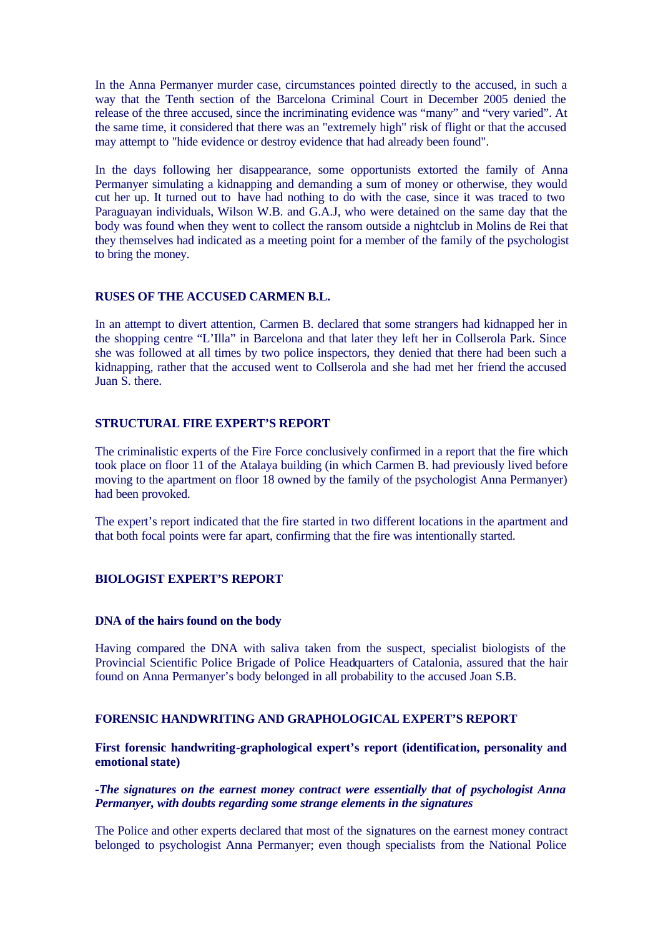In the Anna Permanyer murder case, circumstances pointed directly to the accused, in such a way that the Tenth section of the Barcelona Criminal Court in December 2005 denied the release of the three accused, since the incriminating evidence was "many" and "very varied". At the same time, it considered that there was an "extremely high" risk of flight or that the accused may attempt to "hide evidence or destroy evidence that had already been found".

In the days following her disappearance, some opportunists extorted the family of Anna Permanyer simulating a kidnapping and demanding a sum of money or otherwise, they would cut her up. It turned out to have had nothing to do with the case, since it was traced to two Paraguayan individuals, Wilson W.B. and G.A.J, who were detained on the same day that the body was found when they went to collect the ransom outside a nightclub in Molins de Rei that they themselves had indicated as a meeting point for a member of the family of the psychologist to bring the money.

#### **RUSES OF THE ACCUSED CARMEN B.L.**

In an attempt to divert attention, Carmen B. declared that some strangers had kidnapped her in the shopping centre "L'Illa" in Barcelona and that later they left her in Collserola Park. Since she was followed at all times by two police inspectors, they denied that there had been such a kidnapping, rather that the accused went to Collserola and she had met her friend the accused Juan S. there.

## **STRUCTURAL FIRE EXPERT'S REPORT**

The criminalistic experts of the Fire Force conclusively confirmed in a report that the fire which took place on floor 11 of the Atalaya building (in which Carmen B. had previously lived before moving to the apartment on floor 18 owned by the family of the psychologist Anna Permanyer) had been provoked.

The expert's report indicated that the fire started in two different locations in the apartment and that both focal points were far apart, confirming that the fire was intentionally started.

## **BIOLOGIST EXPERT'S REPORT**

#### **DNA of the hairs found on the body**

Having compared the DNA with saliva taken from the suspect, specialist biologists of the Provincial Scientific Police Brigade of Police Headquarters of Catalonia, assured that the hair found on Anna Permanyer's body belonged in all probability to the accused Joan S.B.

#### **FORENSIC HANDWRITING AND GRAPHOLOGICAL EXPERT'S REPORT**

**First forensic handwriting-graphological expert's report (identification, personality and emotional state)**

#### *-The signatures on the earnest money contract were essentially that of psychologist Anna Permanyer, with doubts regarding some strange elements in the signatures*

The Police and other experts declared that most of the signatures on the earnest money contract belonged to psychologist Anna Permanyer; even though specialists from the National Police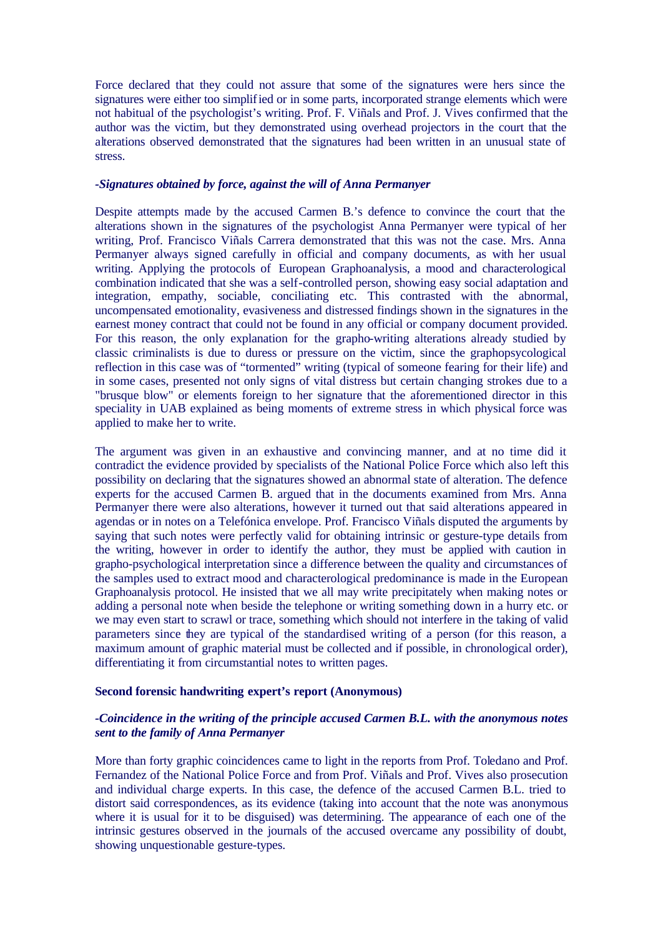Force declared that they could not assure that some of the signatures were hers since the signatures were either too simplified or in some parts, incorporated strange elements which were not habitual of the psychologist's writing. Prof. F. Viñals and Prof. J. Vives confirmed that the author was the victim, but they demonstrated using overhead projectors in the court that the alterations observed demonstrated that the signatures had been written in an unusual state of stress.

#### *-Signatures obtained by force, against the will of Anna Permanyer*

Despite attempts made by the accused Carmen B.'s defence to convince the court that the alterations shown in the signatures of the psychologist Anna Permanyer were typical of her writing, Prof. Francisco Viñals Carrera demonstrated that this was not the case. Mrs. Anna Permanyer always signed carefully in official and company documents, as with her usual writing. Applying the protocols of European Graphoanalysis, a mood and characterological combination indicated that she was a self-controlled person, showing easy social adaptation and integration, empathy, sociable, conciliating etc. This contrasted with the abnormal, uncompensated emotionality, evasiveness and distressed findings shown in the signatures in the earnest money contract that could not be found in any official or company document provided. For this reason, the only explanation for the grapho-writing alterations already studied by classic criminalists is due to duress or pressure on the victim, since the graphopsycological reflection in this case was of "tormented" writing (typical of someone fearing for their life) and in some cases, presented not only signs of vital distress but certain changing strokes due to a "brusque blow" or elements foreign to her signature that the aforementioned director in this speciality in UAB explained as being moments of extreme stress in which physical force was applied to make her to write.

The argument was given in an exhaustive and convincing manner, and at no time did it contradict the evidence provided by specialists of the National Police Force which also left this possibility on declaring that the signatures showed an abnormal state of alteration. The defence experts for the accused Carmen B, argued that in the documents examined from Mrs. Anna Permanyer there were also alterations, however it turned out that said alterations appeared in agendas or in notes on a Telefónica envelope. Prof. Francisco Viñals disputed the arguments by saying that such notes were perfectly valid for obtaining intrinsic or gesture-type details from the writing, however in order to identify the author, they must be applied with caution in grapho-psychological interpretation since a difference between the quality and circumstances of the samples used to extract mood and characterological predominance is made in the European Graphoanalysis protocol. He insisted that we all may write precipitately when making notes or adding a personal note when beside the telephone or writing something down in a hurry etc. or we may even start to scrawl or trace, something which should not interfere in the taking of valid parameters since they are typical of the standardised writing of a person (for this reason, a maximum amount of graphic material must be collected and if possible, in chronological order), differentiating it from circumstantial notes to written pages.

## **Second forensic handwriting expert's report (Anonymous)**

## *-Coincidence in the writing of the principle accused Carmen B.L. with the anonymous notes sent to the family of Anna Permanyer*

More than forty graphic coincidences came to light in the reports from Prof. Toledano and Prof. Fernandez of the National Police Force and from Prof. Viñals and Prof. Vives also prosecution and individual charge experts. In this case, the defence of the accused Carmen B.L. tried to distort said correspondences, as its evidence (taking into account that the note was anonymous where it is usual for it to be disguised) was determining. The appearance of each one of the intrinsic gestures observed in the journals of the accused overcame any possibility of doubt, showing unquestionable gesture-types.